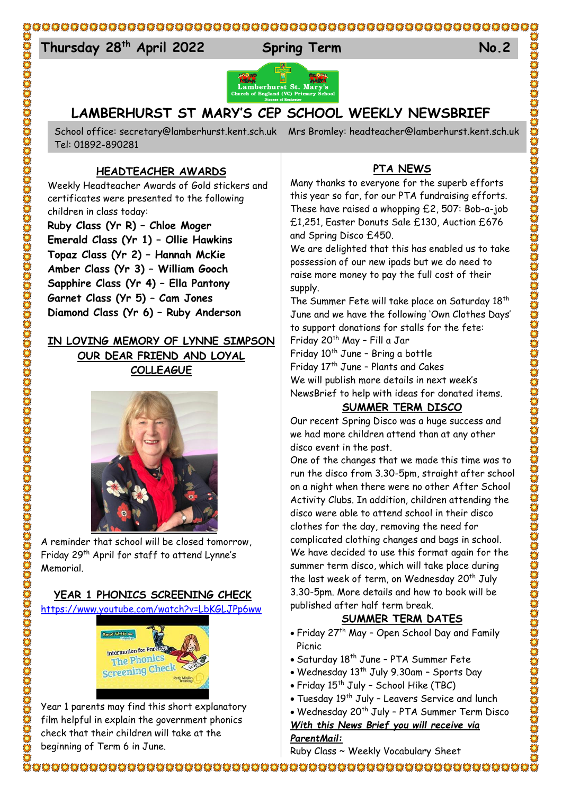#### 

#### $T<sub>1</sub>$ **Thursday 28 th April 2022 Spring Term No.2**





# **LAMBERHURST ST MARY'S CEP SCHOOL WEEKLY NEWSBRIEF**

School office: [secretary@lamberhurst.kent.sch.uk](mailto:secretary@lamberhurst.kent.sch.uk) Mrs Bromley: headteacher@lamberhurst.kent.sch.uk Tel: 01892-890281

#### **HEADTEACHER AWARDS**

Weekly Headteacher Awards of Gold stickers and certificates were presented to the following children in class today:

**Ruby Class (Yr R) – Chloe Moger Emerald Class (Yr 1) – Ollie Hawkins Topaz Class (Yr 2) – Hannah McKie Amber Class (Yr 3) – William Gooch Sapphire Class (Yr 4) – Ella Pantony Garnet Class (Yr 5) – Cam Jones Diamond Class (Yr 6) – Ruby Anderson**

### **IN LOVING MEMORY OF LYNNE SIMPSON**

**OUR DEAR FRIEND AND LOYAL COLLEAGUE**



A reminder that school will be closed tomorrow, Friday 29th April for staff to attend Lynne's Memorial.

### **YEAR 1 PHONICS SCREENING CHECK**

<https://www.youtube.com/watch?v=LbKGLJPp6ww>



Year 1 parents may find this short explanatory film helpful in explain the government phonics check that their children will take at the beginning of Term 6 in June.

## **PTA NEWS**

Many thanks to everyone for the superb efforts this year so far, for our PTA fundraising efforts. These have raised a whopping £2, 507: Bob-a-job £1,251, Easter Donuts Sale £130, Auction £676 and Spring Disco £450.

We are delighted that this has enabled us to take possession of our new ipads but we do need to raise more money to pay the full cost of their supply.

The Summer Fete will take place on Saturday 18<sup>th</sup> June and we have the following 'Own Clothes Days' to support donations for stalls for the fete:

Friday 20th May – Fill a Jar

Friday 10<sup>th</sup> June - Bring a bottle Friday 17<sup>th</sup> June - Plants and Cakes We will publish more details in next week's NewsBrief to help with ideas for donated items.

### **SUMMER TERM DISCO**

Our recent Spring Disco was a huge success and we had more children attend than at any other disco event in the past.

One of the changes that we made this time was to run the disco from 3.30-5pm, straight after school on a night when there were no other After School Activity Clubs. In addition, children attending the disco were able to attend school in their disco clothes for the day, removing the need for complicated clothing changes and bags in school. We have decided to use this format again for the summer term disco, which will take place during the last week of term, on Wednesday 20<sup>th</sup> July 3.30-5pm. More details and how to book will be published after half term break.

# **SUMMER TERM DATES**

- Friday 27<sup>th</sup> May Open School Day and Family Picnic
- Saturday 18th June PTA Summer Fete
- Wednesday 13<sup>th</sup> July 9.30am Sports Day
- $\bullet$  Friday 15th July School Hike (TBC)
- Tuesday 19th July Leavers Service and lunch
- Wednesday 20<sup>th</sup> July PTA Summer Term Disco

*With this News Brief you will receive via* 

*ParentMail:* Ruby Class ~ Weekly Vocabulary Sheet